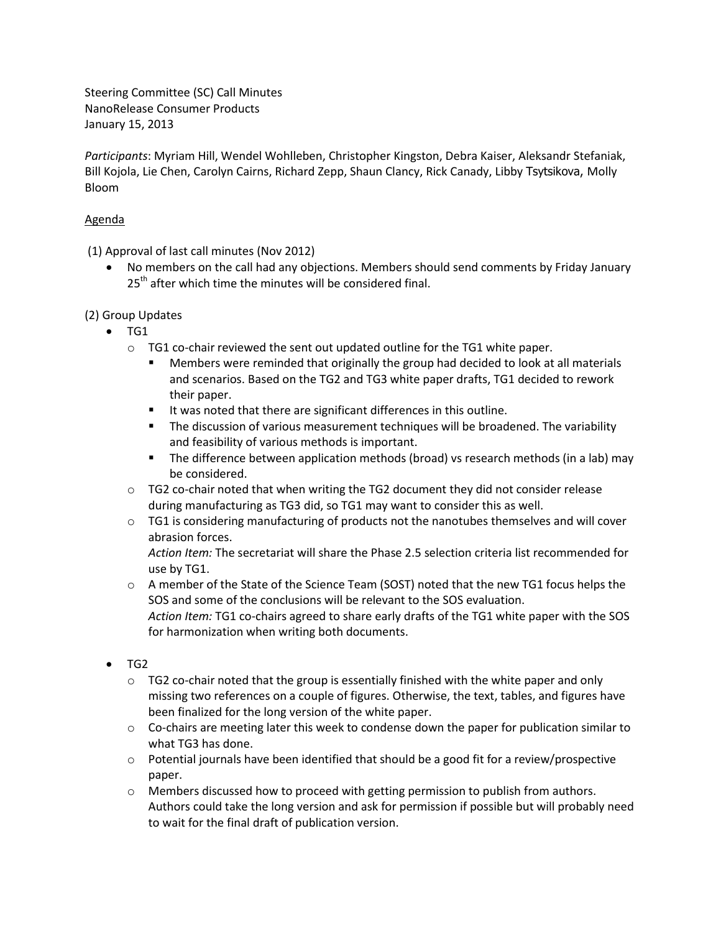Steering Committee (SC) Call Minutes NanoRelease Consumer Products January 15, 2013

*Participants*: Myriam Hill, Wendel Wohlleben, Christopher Kingston, Debra Kaiser, Aleksandr Stefaniak, Bill Kojola, Lie Chen, Carolyn Cairns, Richard Zepp, Shaun Clancy, Rick Canady, Libby Tsytsikova, Molly Bloom

## Agenda

(1) Approval of last call minutes (Nov 2012)

 No members on the call had any objections. Members should send comments by Friday January  $25<sup>th</sup>$  after which time the minutes will be considered final.

(2) Group Updates

- $\bullet$  TG1
	- $\circ$  TG1 co-chair reviewed the sent out updated outline for the TG1 white paper.
		- Members were reminded that originally the group had decided to look at all materials and scenarios. Based on the TG2 and TG3 white paper drafts, TG1 decided to rework their paper.
		- It was noted that there are significant differences in this outline.
		- The discussion of various measurement techniques will be broadened. The variability and feasibility of various methods is important.
		- **The difference between application methods (broad) vs research methods (in a lab) may** be considered.
	- $\circ$  TG2 co-chair noted that when writing the TG2 document they did not consider release during manufacturing as TG3 did, so TG1 may want to consider this as well.
	- $\circ$  TG1 is considering manufacturing of products not the nanotubes themselves and will cover abrasion forces.

*Action Item:* The secretariat will share the Phase 2.5 selection criteria list recommended for use by TG1.

- $\circ$  A member of the State of the Science Team (SOST) noted that the new TG1 focus helps the SOS and some of the conclusions will be relevant to the SOS evaluation. *Action Item:* TG1 co-chairs agreed to share early drafts of the TG1 white paper with the SOS for harmonization when writing both documents.
- TG2
	- $\circ$  TG2 co-chair noted that the group is essentially finished with the white paper and only missing two references on a couple of figures. Otherwise, the text, tables, and figures have been finalized for the long version of the white paper.
	- $\circ$  Co-chairs are meeting later this week to condense down the paper for publication similar to what TG3 has done.
	- $\circ$  Potential journals have been identified that should be a good fit for a review/prospective paper.
	- o Members discussed how to proceed with getting permission to publish from authors. Authors could take the long version and ask for permission if possible but will probably need to wait for the final draft of publication version.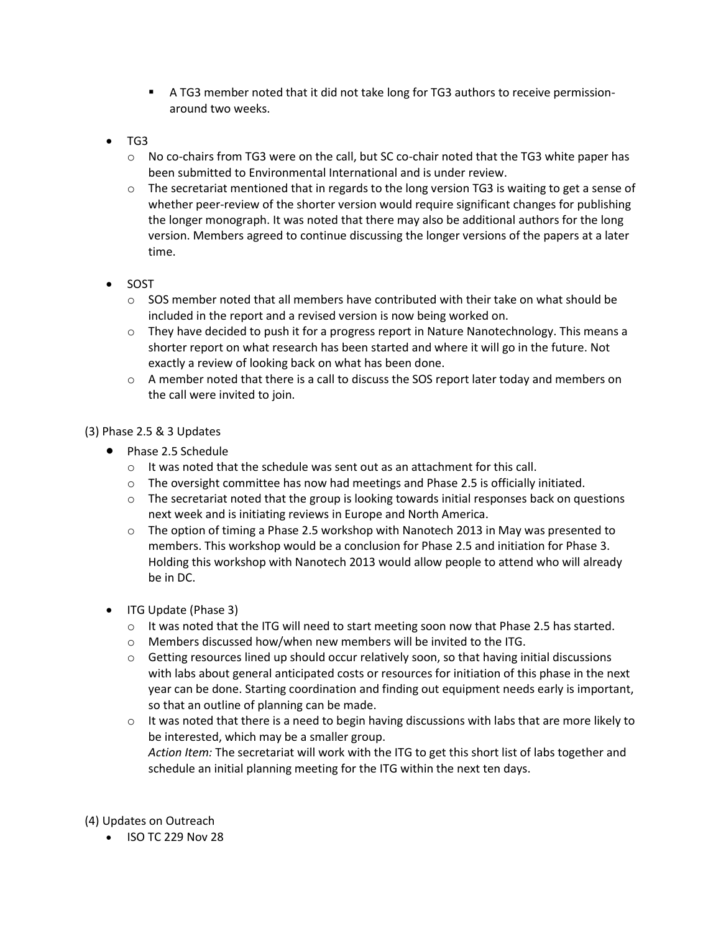- A TG3 member noted that it did not take long for TG3 authors to receive permissionaround two weeks.
- TG3
	- $\circ$  No co-chairs from TG3 were on the call, but SC co-chair noted that the TG3 white paper has been submitted to Environmental International and is under review.
	- $\circ$  The secretariat mentioned that in regards to the long version TG3 is waiting to get a sense of whether peer-review of the shorter version would require significant changes for publishing the longer monograph. It was noted that there may also be additional authors for the long version. Members agreed to continue discussing the longer versions of the papers at a later time.
- SOST
	- $\circ$  SOS member noted that all members have contributed with their take on what should be included in the report and a revised version is now being worked on.
	- $\circ$  They have decided to push it for a progress report in Nature Nanotechnology. This means a shorter report on what research has been started and where it will go in the future. Not exactly a review of looking back on what has been done.
	- $\circ$  A member noted that there is a call to discuss the SOS report later today and members on the call were invited to join.

## (3) Phase 2.5 & 3 Updates

- Phase 2.5 Schedule
	- o It was noted that the schedule was sent out as an attachment for this call.
	- $\circ$  The oversight committee has now had meetings and Phase 2.5 is officially initiated.
	- $\circ$  The secretariat noted that the group is looking towards initial responses back on questions next week and is initiating reviews in Europe and North America.
	- $\circ$  The option of timing a Phase 2.5 workshop with Nanotech 2013 in May was presented to members. This workshop would be a conclusion for Phase 2.5 and initiation for Phase 3. Holding this workshop with Nanotech 2013 would allow people to attend who will already be in DC.
- ITG Update (Phase 3)
	- $\circ$  It was noted that the ITG will need to start meeting soon now that Phase 2.5 has started.
	- o Members discussed how/when new members will be invited to the ITG.
	- $\circ$  Getting resources lined up should occur relatively soon, so that having initial discussions with labs about general anticipated costs or resources for initiation of this phase in the next year can be done. Starting coordination and finding out equipment needs early is important, so that an outline of planning can be made.
	- $\circ$  It was noted that there is a need to begin having discussions with labs that are more likely to be interested, which may be a smaller group. *Action Item:* The secretariat will work with the ITG to get this short list of labs together and schedule an initial planning meeting for the ITG within the next ten days.

(4) Updates on Outreach

 $\bullet$  ISO TC 229 Nov 28